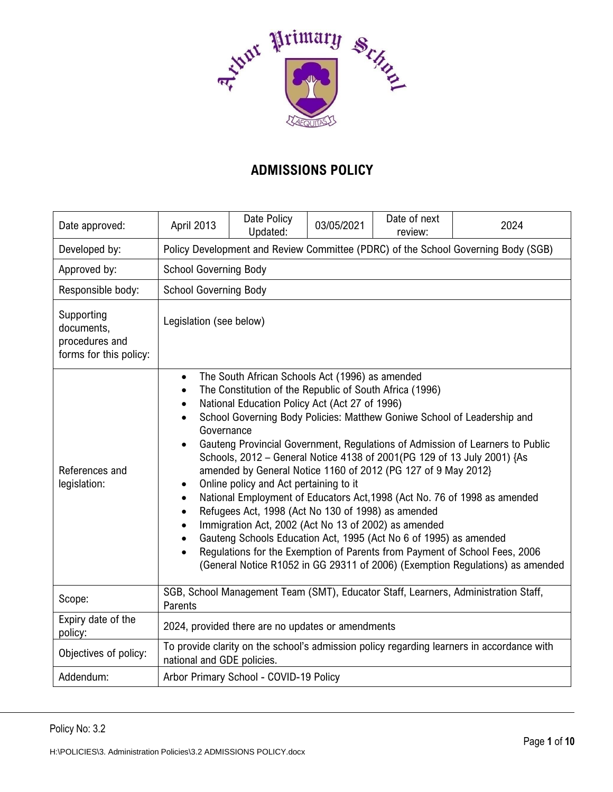

# **ADMISSIONS POLICY**

| Date approved:                                                       | April 2013                                                                                                                                                                                                                                                                                                                                                                                                                                                                                                                                                                                                                                                                                                                                                                                                                                                                                                                                                  | Date Policy<br>Updated: | 03/05/2021 | Date of next<br>review: | 2024 |  |
|----------------------------------------------------------------------|-------------------------------------------------------------------------------------------------------------------------------------------------------------------------------------------------------------------------------------------------------------------------------------------------------------------------------------------------------------------------------------------------------------------------------------------------------------------------------------------------------------------------------------------------------------------------------------------------------------------------------------------------------------------------------------------------------------------------------------------------------------------------------------------------------------------------------------------------------------------------------------------------------------------------------------------------------------|-------------------------|------------|-------------------------|------|--|
| Developed by:                                                        | Policy Development and Review Committee (PDRC) of the School Governing Body (SGB)                                                                                                                                                                                                                                                                                                                                                                                                                                                                                                                                                                                                                                                                                                                                                                                                                                                                           |                         |            |                         |      |  |
| Approved by:                                                         | <b>School Governing Body</b>                                                                                                                                                                                                                                                                                                                                                                                                                                                                                                                                                                                                                                                                                                                                                                                                                                                                                                                                |                         |            |                         |      |  |
| Responsible body:                                                    | <b>School Governing Body</b>                                                                                                                                                                                                                                                                                                                                                                                                                                                                                                                                                                                                                                                                                                                                                                                                                                                                                                                                |                         |            |                         |      |  |
| Supporting<br>documents,<br>procedures and<br>forms for this policy: | Legislation (see below)                                                                                                                                                                                                                                                                                                                                                                                                                                                                                                                                                                                                                                                                                                                                                                                                                                                                                                                                     |                         |            |                         |      |  |
| References and<br>legislation:                                       | The South African Schools Act (1996) as amended<br>The Constitution of the Republic of South Africa (1996)<br>National Education Policy Act (Act 27 of 1996)<br>School Governing Body Policies: Matthew Goniwe School of Leadership and<br>Governance<br>Gauteng Provincial Government, Regulations of Admission of Learners to Public<br>Schools, 2012 - General Notice 4138 of 2001(PG 129 of 13 July 2001) {As<br>amended by General Notice 1160 of 2012 (PG 127 of 9 May 2012)<br>Online policy and Act pertaining to it<br>National Employment of Educators Act, 1998 (Act No. 76 of 1998 as amended<br>Refugees Act, 1998 (Act No 130 of 1998) as amended<br>Immigration Act, 2002 (Act No 13 of 2002) as amended<br>Gauteng Schools Education Act, 1995 (Act No 6 of 1995) as amended<br>Regulations for the Exemption of Parents from Payment of School Fees, 2006<br>(General Notice R1052 in GG 29311 of 2006) (Exemption Regulations) as amended |                         |            |                         |      |  |
| Scope:                                                               | SGB, School Management Team (SMT), Educator Staff, Learners, Administration Staff,<br>Parents                                                                                                                                                                                                                                                                                                                                                                                                                                                                                                                                                                                                                                                                                                                                                                                                                                                               |                         |            |                         |      |  |
| Expiry date of the<br>policy:                                        | 2024, provided there are no updates or amendments                                                                                                                                                                                                                                                                                                                                                                                                                                                                                                                                                                                                                                                                                                                                                                                                                                                                                                           |                         |            |                         |      |  |
| Objectives of policy:                                                | To provide clarity on the school's admission policy regarding learners in accordance with<br>national and GDE policies.                                                                                                                                                                                                                                                                                                                                                                                                                                                                                                                                                                                                                                                                                                                                                                                                                                     |                         |            |                         |      |  |
| Addendum:                                                            | Arbor Primary School - COVID-19 Policy                                                                                                                                                                                                                                                                                                                                                                                                                                                                                                                                                                                                                                                                                                                                                                                                                                                                                                                      |                         |            |                         |      |  |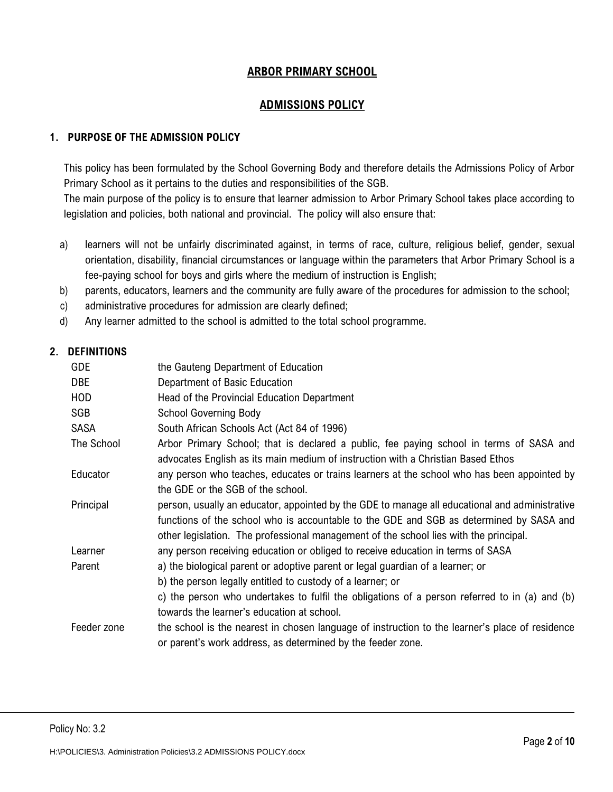## **ARBOR PRIMARY SCHOOL**

# **ADMISSIONS POLICY**

## **1. PURPOSE OF THE ADMISSION POLICY**

This policy has been formulated by the School Governing Body and therefore details the Admissions Policy of Arbor Primary School as it pertains to the duties and responsibilities of the SGB.

The main purpose of the policy is to ensure that learner admission to Arbor Primary School takes place according to legislation and policies, both national and provincial. The policy will also ensure that:

- a) learners will not be unfairly discriminated against, in terms of race, culture, religious belief, gender, sexual orientation, disability, financial circumstances or language within the parameters that Arbor Primary School is a fee-paying school for boys and girls where the medium of instruction is English;
- b) parents, educators, learners and the community are fully aware of the procedures for admission to the school;
- c) administrative procedures for admission are clearly defined;
- d) Any learner admitted to the school is admitted to the total school programme.

#### **2. DEFINITIONS**

| <b>GDE</b>  | the Gauteng Department of Education                                                                                                                                                                                                                                                |
|-------------|------------------------------------------------------------------------------------------------------------------------------------------------------------------------------------------------------------------------------------------------------------------------------------|
| DBE         | Department of Basic Education                                                                                                                                                                                                                                                      |
| <b>HOD</b>  | Head of the Provincial Education Department                                                                                                                                                                                                                                        |
| SGB         | <b>School Governing Body</b>                                                                                                                                                                                                                                                       |
| <b>SASA</b> | South African Schools Act (Act 84 of 1996)                                                                                                                                                                                                                                         |
| The School  | Arbor Primary School; that is declared a public, fee paying school in terms of SASA and<br>advocates English as its main medium of instruction with a Christian Based Ethos                                                                                                        |
| Educator    | any person who teaches, educates or trains learners at the school who has been appointed by<br>the GDE or the SGB of the school.                                                                                                                                                   |
| Principal   | person, usually an educator, appointed by the GDE to manage all educational and administrative<br>functions of the school who is accountable to the GDE and SGB as determined by SASA and<br>other legislation. The professional management of the school lies with the principal. |
| Learner     | any person receiving education or obliged to receive education in terms of SASA                                                                                                                                                                                                    |
| Parent      | a) the biological parent or adoptive parent or legal guardian of a learner; or<br>b) the person legally entitled to custody of a learner; or                                                                                                                                       |
|             | c) the person who undertakes to fulfil the obligations of a person referred to in (a) and (b)<br>towards the learner's education at school.                                                                                                                                        |
| Feeder zone | the school is the nearest in chosen language of instruction to the learner's place of residence<br>or parent's work address, as determined by the feeder zone.                                                                                                                     |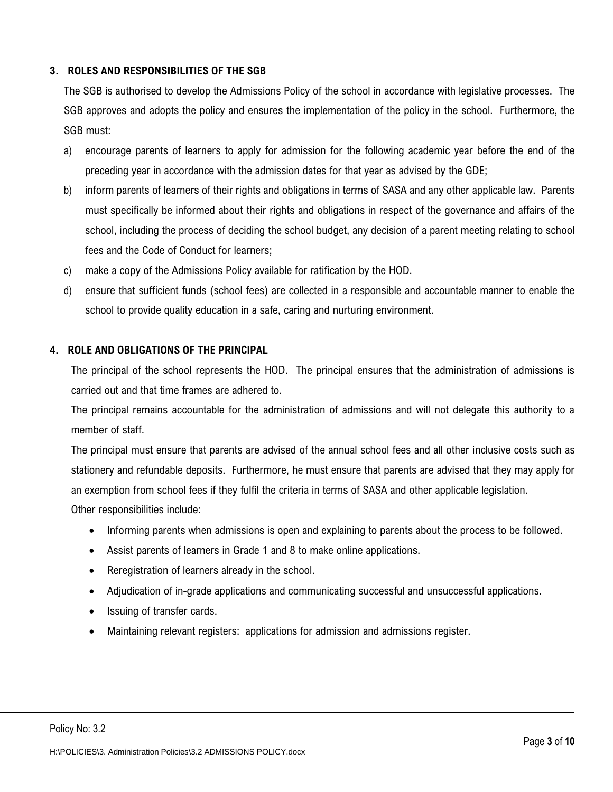### **3. ROLES AND RESPONSIBILITIES OF THE SGB**

The SGB is authorised to develop the Admissions Policy of the school in accordance with legislative processes. The SGB approves and adopts the policy and ensures the implementation of the policy in the school. Furthermore, the SGB must:

- a) encourage parents of learners to apply for admission for the following academic year before the end of the preceding year in accordance with the admission dates for that year as advised by the GDE;
- b) inform parents of learners of their rights and obligations in terms of SASA and any other applicable law. Parents must specifically be informed about their rights and obligations in respect of the governance and affairs of the school, including the process of deciding the school budget, any decision of a parent meeting relating to school fees and the Code of Conduct for learners;
- c) make a copy of the Admissions Policy available for ratification by the HOD.
- d) ensure that sufficient funds (school fees) are collected in a responsible and accountable manner to enable the school to provide quality education in a safe, caring and nurturing environment.

#### **4. ROLE AND OBLIGATIONS OF THE PRINCIPAL**

The principal of the school represents the HOD. The principal ensures that the administration of admissions is carried out and that time frames are adhered to.

The principal remains accountable for the administration of admissions and will not delegate this authority to a member of staff.

The principal must ensure that parents are advised of the annual school fees and all other inclusive costs such as stationery and refundable deposits. Furthermore, he must ensure that parents are advised that they may apply for an exemption from school fees if they fulfil the criteria in terms of SASA and other applicable legislation. Other responsibilities include:

- Informing parents when admissions is open and explaining to parents about the process to be followed.
- Assist parents of learners in Grade 1 and 8 to make online applications.
- Reregistration of learners already in the school.
- Adjudication of in-grade applications and communicating successful and unsuccessful applications.
- Issuing of transfer cards.
- Maintaining relevant registers: applications for admission and admissions register.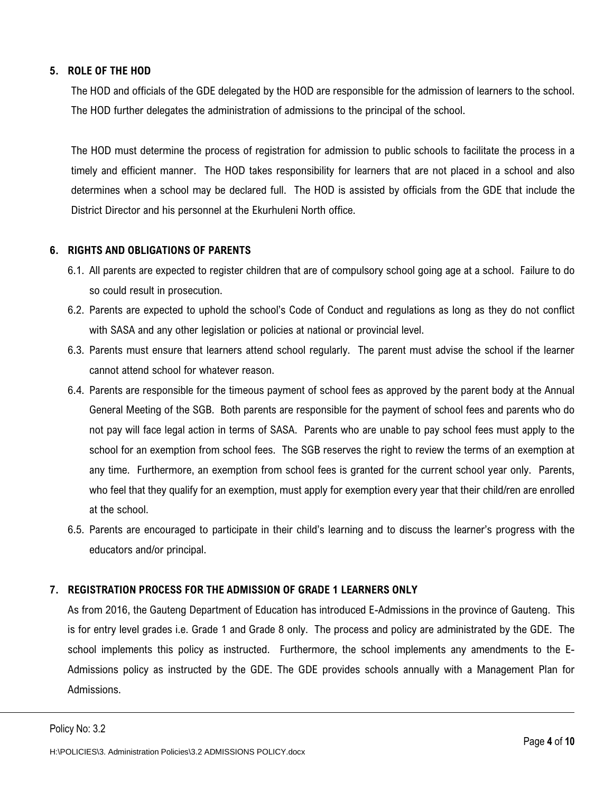## **5. ROLE OF THE HOD**

The HOD and officials of the GDE delegated by the HOD are responsible for the admission of learners to the school. The HOD further delegates the administration of admissions to the principal of the school.

The HOD must determine the process of registration for admission to public schools to facilitate the process in a timely and efficient manner. The HOD takes responsibility for learners that are not placed in a school and also determines when a school may be declared full. The HOD is assisted by officials from the GDE that include the District Director and his personnel at the Ekurhuleni North office.

## **6. RIGHTS AND OBLIGATIONS OF PARENTS**

- 6.1. All parents are expected to register children that are of compulsory school going age at a school. Failure to do so could result in prosecution.
- 6.2. Parents are expected to uphold the school's Code of Conduct and regulations as long as they do not conflict with SASA and any other legislation or policies at national or provincial level.
- 6.3. Parents must ensure that learners attend school regularly. The parent must advise the school if the learner cannot attend school for whatever reason.
- 6.4. Parents are responsible for the timeous payment of school fees as approved by the parent body at the Annual General Meeting of the SGB. Both parents are responsible for the payment of school fees and parents who do not pay will face legal action in terms of SASA. Parents who are unable to pay school fees must apply to the school for an exemption from school fees. The SGB reserves the right to review the terms of an exemption at any time. Furthermore, an exemption from school fees is granted for the current school year only. Parents, who feel that they qualify for an exemption, must apply for exemption every year that their child/ren are enrolled at the school.
- 6.5. Parents are encouraged to participate in their child's learning and to discuss the learner's progress with the educators and/or principal.

## **7. REGISTRATION PROCESS FOR THE ADMISSION OF GRADE 1 LEARNERS ONLY**

As from 2016, the Gauteng Department of Education has introduced E-Admissions in the province of Gauteng. This is for entry level grades i.e. Grade 1 and Grade 8 only. The process and policy are administrated by the GDE. The school implements this policy as instructed. Furthermore, the school implements any amendments to the E-Admissions policy as instructed by the GDE. The GDE provides schools annually with a Management Plan for Admissions.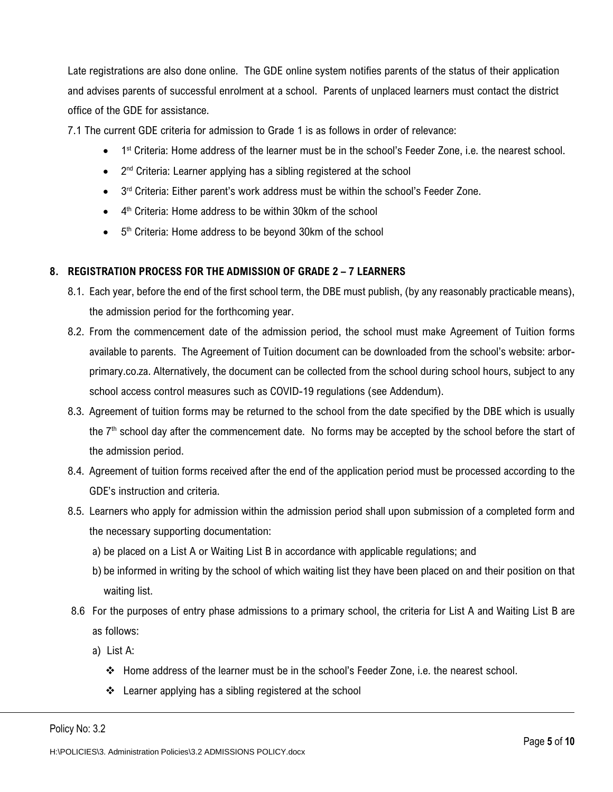Late registrations are also done online. The GDE online system notifies parents of the status of their application and advises parents of successful enrolment at a school. Parents of unplaced learners must contact the district office of the GDE for assistance.

7.1 The current GDE criteria for admission to Grade 1 is as follows in order of relevance:

- 1<sup>st</sup> Criteria: Home address of the learner must be in the school's Feeder Zone, i.e. the nearest school.
- 2<sup>nd</sup> Criteria: Learner applying has a sibling registered at the school
- 3<sup>rd</sup> Criteria: Either parent's work address must be within the school's Feeder Zone.
- 4<sup>th</sup> Criteria: Home address to be within 30km of the school
- 5<sup>th</sup> Criteria: Home address to be beyond 30km of the school

#### **8. REGISTRATION PROCESS FOR THE ADMISSION OF GRADE 2 – 7 LEARNERS**

- 8.1. Each year, before the end of the first school term, the DBE must publish, (by any reasonably practicable means), the admission period for the forthcoming year.
- 8.2. From the commencement date of the admission period, the school must make Agreement of Tuition forms available to parents. The Agreement of Tuition document can be downloaded from the school's website: arborprimary.co.za. Alternatively, the document can be collected from the school during school hours, subject to any school access control measures such as COVID-19 regulations (see Addendum).
- 8.3. Agreement of tuition forms may be returned to the school from the date specified by the DBE which is usually the  $7<sup>th</sup>$  school day after the commencement date. No forms may be accepted by the school before the start of the admission period.
- 8.4. Agreement of tuition forms received after the end of the application period must be processed according to the GDE's instruction and criteria.
- 8.5. Learners who apply for admission within the admission period shall upon submission of a completed form and the necessary supporting documentation:
	- a) be placed on a List A or Waiting List B in accordance with applicable regulations; and
	- b) be informed in writing by the school of which waiting list they have been placed on and their position on that waiting list.
- 8.6 For the purposes of entry phase admissions to a primary school, the criteria for List A and Waiting List B are as follows:
	- a) List A:
		- ❖ Home address of the learner must be in the school's Feeder Zone, i.e. the nearest school.
		- ❖ Learner applying has a sibling registered at the school

Policy No: 3.2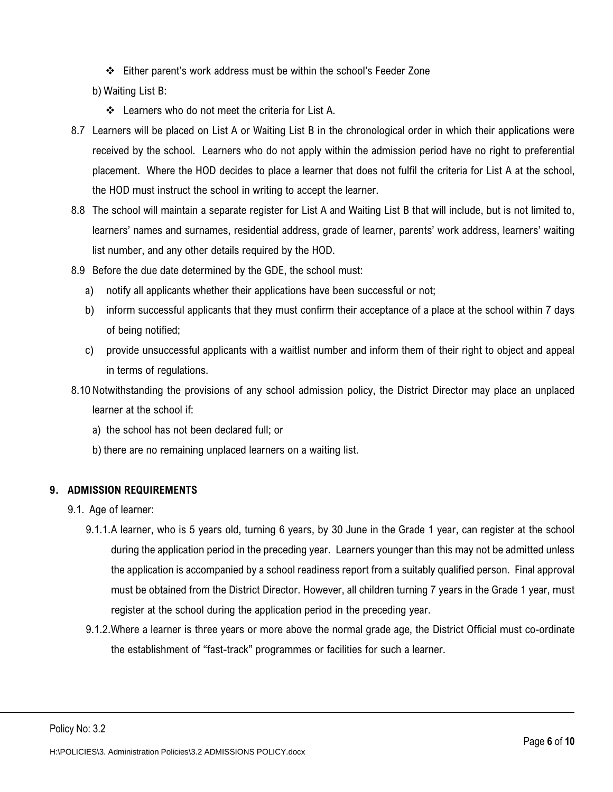- ❖ Either parent's work address must be within the school's Feeder Zone
- b) Waiting List B:
	- ❖ Learners who do not meet the criteria for List A.
- 8.7 Learners will be placed on List A or Waiting List B in the chronological order in which their applications were received by the school. Learners who do not apply within the admission period have no right to preferential placement. Where the HOD decides to place a learner that does not fulfil the criteria for List A at the school, the HOD must instruct the school in writing to accept the learner.
- 8.8 The school will maintain a separate register for List A and Waiting List B that will include, but is not limited to, learners' names and surnames, residential address, grade of learner, parents' work address, learners' waiting list number, and any other details required by the HOD.
- 8.9 Before the due date determined by the GDE, the school must:
	- a) notify all applicants whether their applications have been successful or not;
	- b) inform successful applicants that they must confirm their acceptance of a place at the school within 7 days of being notified;
	- c) provide unsuccessful applicants with a waitlist number and inform them of their right to object and appeal in terms of regulations.
- 8.10 Notwithstanding the provisions of any school admission policy, the District Director may place an unplaced learner at the school if:
	- a) the school has not been declared full; or
	- b) there are no remaining unplaced learners on a waiting list.

#### **9. ADMISSION REQUIREMENTS**

- 9.1. Age of learner:
	- 9.1.1.A learner, who is 5 years old, turning 6 years, by 30 June in the Grade 1 year, can register at the school during the application period in the preceding year. Learners younger than this may not be admitted unless the application is accompanied by a school readiness report from a suitably qualified person. Final approval must be obtained from the District Director. However, all children turning 7 years in the Grade 1 year, must register at the school during the application period in the preceding year.
	- 9.1.2.Where a learner is three years or more above the normal grade age, the District Official must co-ordinate the establishment of "fast-track" programmes or facilities for such a learner.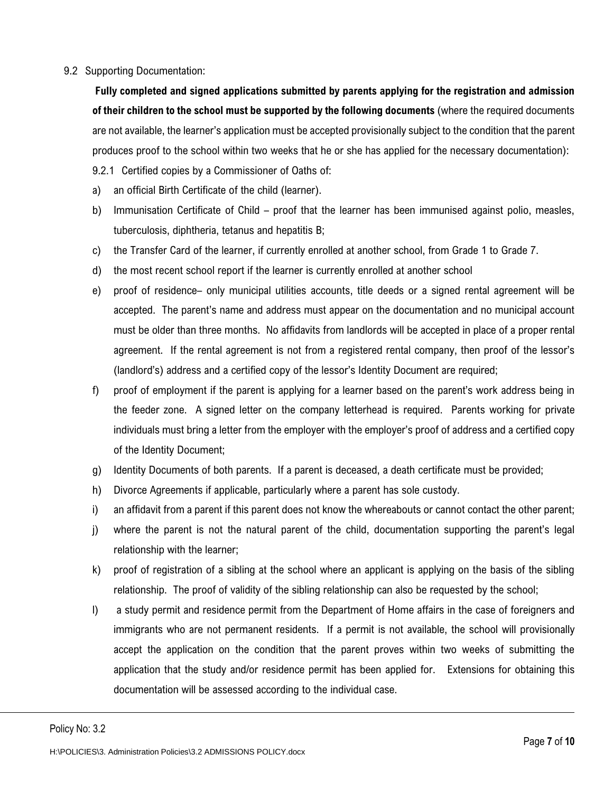#### 9.2 Supporting Documentation:

**Fully completed and signed applications submitted by parents applying for the registration and admission of their children to the school must be supported by the following documents** (where the required documents are not available, the learner's application must be accepted provisionally subject to the condition that the parent produces proof to the school within two weeks that he or she has applied for the necessary documentation):

- 9.2.1 Certified copies by a Commissioner of Oaths of:
- a) an official Birth Certificate of the child (learner).
- b) Immunisation Certificate of Child proof that the learner has been immunised against polio, measles, tuberculosis, diphtheria, tetanus and hepatitis B;
- c) the Transfer Card of the learner, if currently enrolled at another school, from Grade 1 to Grade 7.
- d) the most recent school report if the learner is currently enrolled at another school
- e) proof of residence– only municipal utilities accounts, title deeds or a signed rental agreement will be accepted. The parent's name and address must appear on the documentation and no municipal account must be older than three months. No affidavits from landlords will be accepted in place of a proper rental agreement. If the rental agreement is not from a registered rental company, then proof of the lessor's (landlord's) address and a certified copy of the lessor's Identity Document are required;
- f) proof of employment if the parent is applying for a learner based on the parent's work address being in the feeder zone. A signed letter on the company letterhead is required. Parents working for private individuals must bring a letter from the employer with the employer's proof of address and a certified copy of the Identity Document;
- g) Identity Documents of both parents. If a parent is deceased, a death certificate must be provided;
- h) Divorce Agreements if applicable, particularly where a parent has sole custody.
- i) an affidavit from a parent if this parent does not know the whereabouts or cannot contact the other parent;
- j) where the parent is not the natural parent of the child, documentation supporting the parent's legal relationship with the learner;
- k) proof of registration of a sibling at the school where an applicant is applying on the basis of the sibling relationship. The proof of validity of the sibling relationship can also be requested by the school;
- l) a study permit and residence permit from the Department of Home affairs in the case of foreigners and immigrants who are not permanent residents. If a permit is not available, the school will provisionally accept the application on the condition that the parent proves within two weeks of submitting the application that the study and/or residence permit has been applied for. Extensions for obtaining this documentation will be assessed according to the individual case.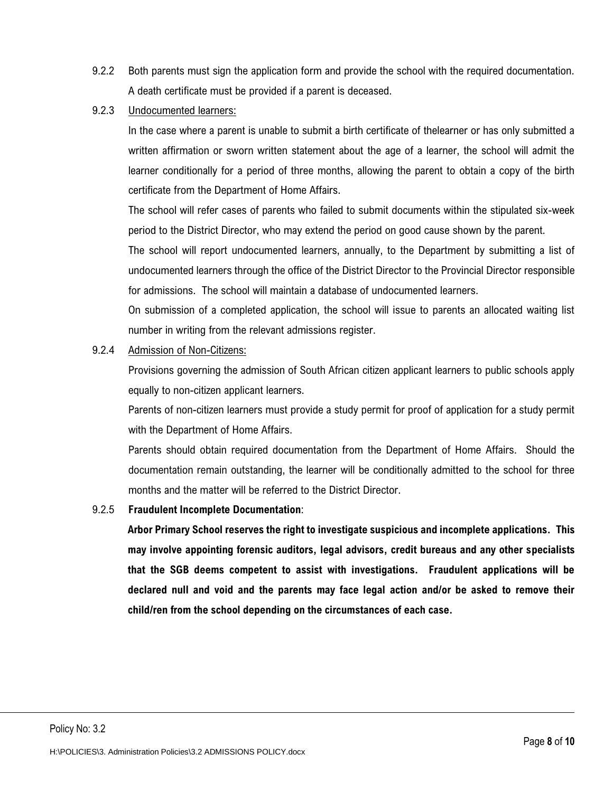- 9.2.2 Both parents must sign the application form and provide the school with the required documentation. A death certificate must be provided if a parent is deceased.
- 9.2.3 Undocumented learners:

In the case where a parent is unable to submit a birth certificate of thelearner or has only submitted a written affirmation or sworn written statement about the age of a learner, the school will admit the learner conditionally for a period of three months, allowing the parent to obtain a copy of the birth certificate from the Department of Home Affairs.

The school will refer cases of parents who failed to submit documents within the stipulated six-week period to the District Director, who may extend the period on good cause shown by the parent.

The school will report undocumented learners, annually, to the Department by submitting a list of undocumented learners through the office of the District Director to the Provincial Director responsible for admissions. The school will maintain a database of undocumented learners.

On submission of a completed application, the school will issue to parents an allocated waiting list number in writing from the relevant admissions register.

9.2.4 Admission of Non-Citizens:

Provisions governing the admission of South African citizen applicant learners to public schools apply equally to non-citizen applicant learners.

Parents of non-citizen learners must provide a study permit for proof of application for a study permit with the Department of Home Affairs.

Parents should obtain required documentation from the Department of Home Affairs. Should the documentation remain outstanding, the learner will be conditionally admitted to the school for three months and the matter will be referred to the District Director.

9.2.5 **Fraudulent Incomplete Documentation**:

**Arbor Primary School reserves the right to investigate suspicious and incomplete applications. This may involve appointing forensic auditors, legal advisors, credit bureaus and any other specialists that the SGB deems competent to assist with investigations. Fraudulent applications will be declared null and void and the parents may face legal action and/or be asked to remove their child/ren from the school depending on the circumstances of each case.**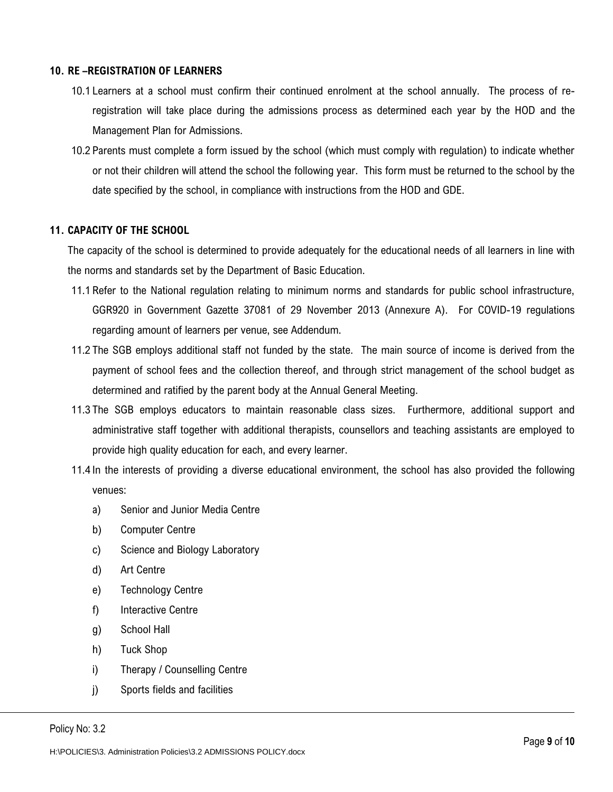#### **10. RE –REGISTRATION OF LEARNERS**

- 10.1 Learners at a school must confirm their continued enrolment at the school annually. The process of reregistration will take place during the admissions process as determined each year by the HOD and the Management Plan for Admissions.
- 10.2 Parents must complete a form issued by the school (which must comply with regulation) to indicate whether or not their children will attend the school the following year. This form must be returned to the school by the date specified by the school, in compliance with instructions from the HOD and GDE.

#### **11. CAPACITY OF THE SCHOOL**

The capacity of the school is determined to provide adequately for the educational needs of all learners in line with the norms and standards set by the Department of Basic Education.

- 11.1 Refer to the National regulation relating to minimum norms and standards for public school infrastructure, GGR920 in Government Gazette 37081 of 29 November 2013 (Annexure A). For COVID-19 regulations regarding amount of learners per venue, see Addendum.
- 11.2 The SGB employs additional staff not funded by the state. The main source of income is derived from the payment of school fees and the collection thereof, and through strict management of the school budget as determined and ratified by the parent body at the Annual General Meeting.
- 11.3 The SGB employs educators to maintain reasonable class sizes. Furthermore, additional support and administrative staff together with additional therapists, counsellors and teaching assistants are employed to provide high quality education for each, and every learner.
- 11.4 In the interests of providing a diverse educational environment, the school has also provided the following venues:
	- a) Senior and Junior Media Centre
	- b) Computer Centre
	- c) Science and Biology Laboratory
	- d) Art Centre
	- e) Technology Centre
	- f) Interactive Centre
	- g) School Hall
	- h) Tuck Shop
	- i) Therapy / Counselling Centre
	- j) Sports fields and facilities

Policy No: 3.2